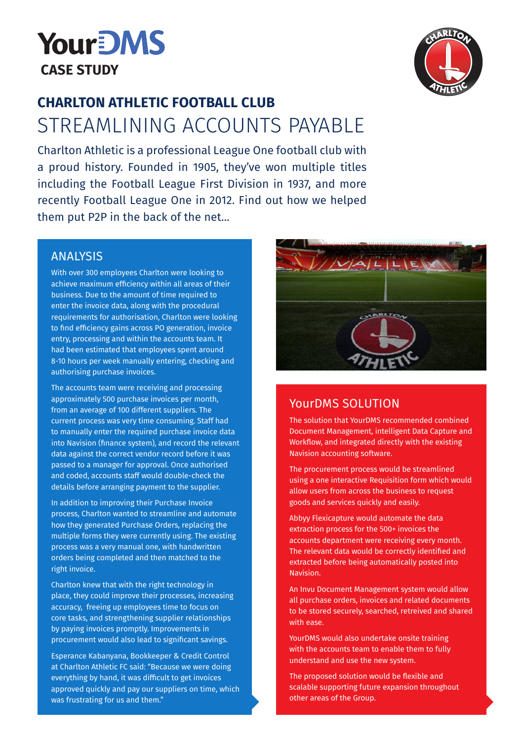



## **CHARLTON ATHLETIC FOOTBALL CLUB** STREAMLINING ACCOUNTS PAYABLE

Charlton Athletic is a professional League One football club with a proud history. Founded in 1905, they've won multiple titles including the Football League First Division in 1937, and more recently Football League One in 2012. Find out how we helped them put P2P in the back of the net...

## ANALYSIS

With over 300 employees Charlton were looking to achieve maximum efficiency within all areas of their business. Due to the amount of time required to enter the invoice data, along with the procedural requirements for authorisation, Charlton were looking to find efficiency gains across PO generation, invoice entry, processing and within the accounts team. It had been estimated that employees spent around 8-10 hours per week manually entering, checking and authorising purchase invoices.

The accounts team were receiving and processing approximately 500 purchase invoices per month, from an average of 100 different suppliers. The current process was very time consuming. Staff had to manually enter the required purchase invoice data into Navision (finance system), and record the relevant data against the correct vendor record before it was passed to a manager for approval. Once authorised and coded, accounts staff would double-check the details before arranging payment to the supplier.

In addition to improving their Purchase Invoice process, Charlton wanted to streamline and automate how they generated Purchase Orders, replacing the multiple forms they were currently using. The existing process was a very manual one, with handwritten orders being completed and then matched to the right invoice.

Charlton knew that with the right technology in place, they could improve their processes, increasing accuracy, freeing up employees time to focus on core tasks, and strengthening supplier relationships by paying invoices promptly. Improvements in procurement would also lead to significant savings.

Esperance Kabanyana, Bookkeeper & Credit Control at Charlton Athletic FC said: "Because we were doing everything by hand, it was difficult to get invoices approved quickly and pay our suppliers on time, which was frustrating for us and them."



## YourDMS SOLUTION

The solution that YourDMS recommended combined Document Management, intelligent Data Capture and Workflow, and integrated directly with the existing Navision accounting software.

The procurement process would be streamlined using a one interactive Requisition form which would allow users from across the business to request goods and services quickly and easily.

Abbyy Flexicapture would automate the data extraction process for the 500+ invoices the accounts department were receiving every month. The relevant data would be correctly identified and extracted before being automatically posted into Navision.

An Invu Document Management system would allow all purchase orders, invoices and related documents to be stored securely, searched, retreived and shared with ease.

YourDMS would also undertake onsite training with the accounts team to enable them to fully understand and use the new system.

The proposed solution would be flexible and scalable supporting future expansion throughout other areas of the Group.